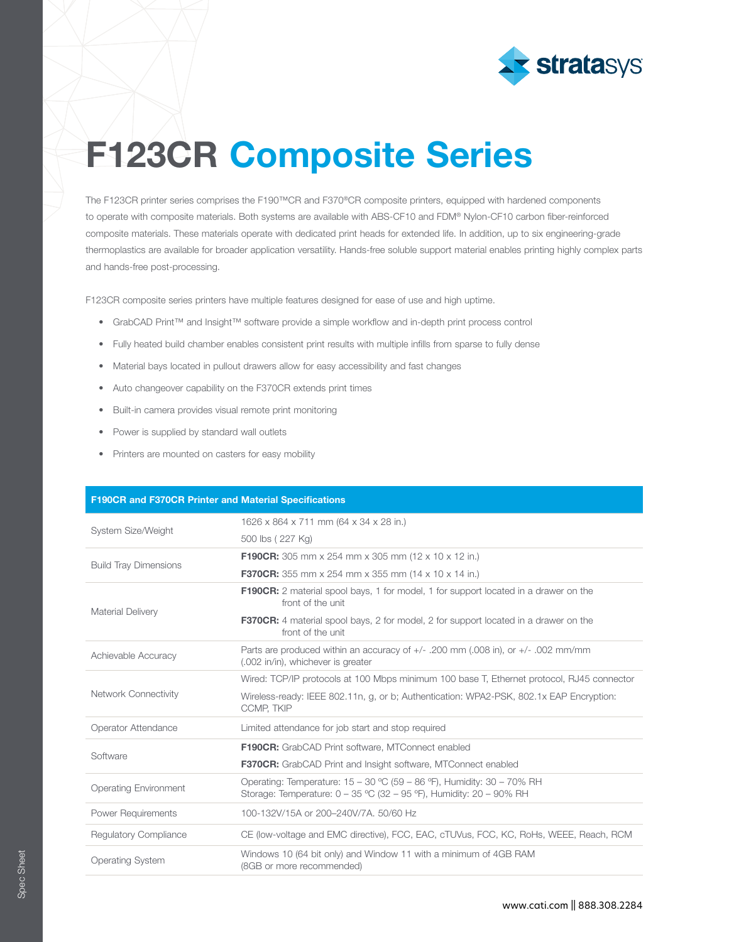

## F123CR Composite Series

The F123CR printer series comprises the F190™CR and F370®CR composite printers, equipped with hardened components to operate with composite materials. Both systems are available with ABS-CF10 and FDM® Nylon-CF10 carbon fiber-reinforced composite materials. These materials operate with dedicated print heads for extended life. In addition, up to six engineering-grade thermoplastics are available for broader application versatility. Hands-free soluble support material enables printing highly complex parts and hands-free post-processing.

F123CR composite series printers have multiple features designed for ease of use and high uptime.

- GrabCAD Print™ and Insight™ software provide a simple workflow and in-depth print process control
- Fully heated build chamber enables consistent print results with multiple infills from sparse to fully dense
- Material bays located in pullout drawers allow for easy accessibility and fast changes
- Auto changeover capability on the F370CR extends print times
- Built-in camera provides visual remote print monitoring
- Power is supplied by standard wall outlets
- Printers are mounted on casters for easy mobility

| <b>F190CR and F370CR Printer and Material Specifications</b> |                                                                                                                                               |  |  |  |  |
|--------------------------------------------------------------|-----------------------------------------------------------------------------------------------------------------------------------------------|--|--|--|--|
| System Size/Weight                                           | 1626 x 864 x 711 mm (64 x 34 x 28 in.)                                                                                                        |  |  |  |  |
|                                                              | 500 lbs (227 Kg)                                                                                                                              |  |  |  |  |
| <b>Build Tray Dimensions</b>                                 | <b>F190CR:</b> 305 mm x 254 mm x 305 mm (12 x 10 x 12 in.)                                                                                    |  |  |  |  |
|                                                              | <b>F370CR:</b> 355 mm x 254 mm x 355 mm (14 x 10 x 14 in.)                                                                                    |  |  |  |  |
| <b>Material Delivery</b>                                     | <b>F190CR:</b> 2 material spool bays, 1 for model, 1 for support located in a drawer on the<br>front of the unit                              |  |  |  |  |
|                                                              | <b>F370CR:</b> 4 material spool bays, 2 for model, 2 for support located in a drawer on the<br>front of the unit                              |  |  |  |  |
| Achievable Accuracy                                          | Parts are produced within an accuracy of $+/-$ . 200 mm (.008 in), or $+/-$ .002 mm/mm<br>(.002 in/in), whichever is greater                  |  |  |  |  |
| <b>Network Connectivity</b>                                  | Wired: TCP/IP protocols at 100 Mbps minimum 100 base T, Ethernet protocol, RJ45 connector                                                     |  |  |  |  |
|                                                              | Wireless-ready: IEEE 802.11n, q, or b; Authentication: WPA2-PSK, 802.1x EAP Encryption:<br><b>CCMP. TKIP</b>                                  |  |  |  |  |
| Operator Attendance                                          | Limited attendance for job start and stop required                                                                                            |  |  |  |  |
| Software                                                     | F190CR: GrabCAD Print software, MTConnect enabled                                                                                             |  |  |  |  |
|                                                              | <b>F370CR:</b> GrabCAD Print and Insight software, MTConnect enabled                                                                          |  |  |  |  |
| <b>Operating Environment</b>                                 | Operating: Temperature: 15 - 30 °C (59 - 86 °F), Humidity: 30 - 70% RH<br>Storage: Temperature: 0 - 35 °C (32 - 95 °F), Humidity: 20 - 90% RH |  |  |  |  |
| Power Requirements                                           | 100-132V/15A or 200-240V/7A, 50/60 Hz                                                                                                         |  |  |  |  |
| <b>Regulatory Compliance</b>                                 | CE (low-voltage and EMC directive), FCC, EAC, cTUVus, FCC, KC, RoHs, WEEE, Reach, RCM                                                         |  |  |  |  |
| <b>Operating System</b>                                      | Windows 10 (64 bit only) and Window 11 with a minimum of 4GB RAM<br>(8GB or more recommended)                                                 |  |  |  |  |